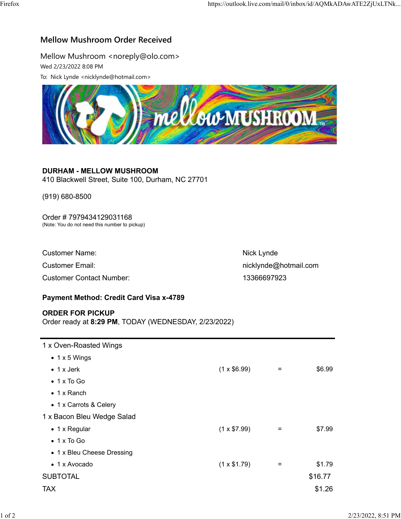## Mellow Mushroom Order Received

Mellow Mushroom <noreply@olo.com> Wed 2/23/2022 8:08 PM



### DURHAM - MELLOW MUSHROOM

# Order # 7979434129031168

| mellow MUSHROOM                                                                              |                       |  |  |  |
|----------------------------------------------------------------------------------------------|-----------------------|--|--|--|
|                                                                                              |                       |  |  |  |
| <b>DURHAM - MELLOW MUSHROOM</b><br>410 Blackwell Street, Suite 100, Durham, NC 27701         |                       |  |  |  |
| $(919) 680 - 8500$                                                                           |                       |  |  |  |
| Order #7979434129031168<br>(Note: You do not need this number to pickup)                     |                       |  |  |  |
| <b>Customer Name:</b>                                                                        | Nick Lynde            |  |  |  |
| <b>Customer Email:</b>                                                                       | nicklynde@hotmail.com |  |  |  |
| <b>Customer Contact Number:</b>                                                              | 13366697923           |  |  |  |
| <b>Payment Method: Credit Card Visa x-4789</b>                                               |                       |  |  |  |
| <b>ORDER FOR PICKUP</b><br>$O_{\text{mds}}$ is a direct 0.00 DM. TODAY (MEDNITODAY OIOOIOOO) |                       |  |  |  |

### Payment Method: Credit Card Visa x-4789

#### ORDER FOR PICKUP

| $(0.10)$ 000-0000                                                               |                    |                       |         |                    |  |
|---------------------------------------------------------------------------------|--------------------|-----------------------|---------|--------------------|--|
| Order #7979434129031168<br>(Note: You do not need this number to pickup)        |                    |                       |         |                    |  |
| <b>Customer Name:</b>                                                           |                    | Nick Lynde            |         |                    |  |
| <b>Customer Email:</b>                                                          |                    | nicklynde@hotmail.com |         |                    |  |
| <b>Customer Contact Number:</b>                                                 |                    | 13366697923           |         |                    |  |
| Payment Method: Credit Card Visa x-4789                                         |                    |                       |         |                    |  |
| <b>ORDER FOR PICKUP</b><br>Order ready at 8:29 PM, TODAY (WEDNESDAY, 2/23/2022) |                    |                       |         |                    |  |
| 1 x Oven-Roasted Wings                                                          |                    |                       |         |                    |  |
| $\bullet$ 1 x 5 Wings                                                           |                    |                       |         |                    |  |
| $\bullet$ 1 x Jerk                                                              | $(1 \times $6.99)$ | $=$                   | \$6.99  |                    |  |
| $\bullet$ 1 x To Go                                                             |                    |                       |         |                    |  |
| $\bullet$ 1 x Ranch                                                             |                    |                       |         |                    |  |
| • 1 x Carrots & Celery                                                          |                    |                       |         |                    |  |
| 1 x Bacon Bleu Wedge Salad                                                      |                    |                       |         |                    |  |
| • 1 x Regular                                                                   | $(1 \times $7.99)$ | $=$                   | \$7.99  |                    |  |
| $\bullet$ 1 x To Go                                                             |                    |                       |         |                    |  |
| • 1 x Bleu Cheese Dressing                                                      |                    |                       |         |                    |  |
| • 1 x Avocado                                                                   | $(1 \times $1.79)$ | $\equiv$              | \$1.79  |                    |  |
| <b>SUBTOTAL</b>                                                                 |                    |                       | \$16.77 |                    |  |
| <b>TAX</b>                                                                      |                    |                       | \$1.26  |                    |  |
|                                                                                 |                    |                       |         |                    |  |
|                                                                                 |                    |                       |         | 2/23/2022, 8:51 PM |  |